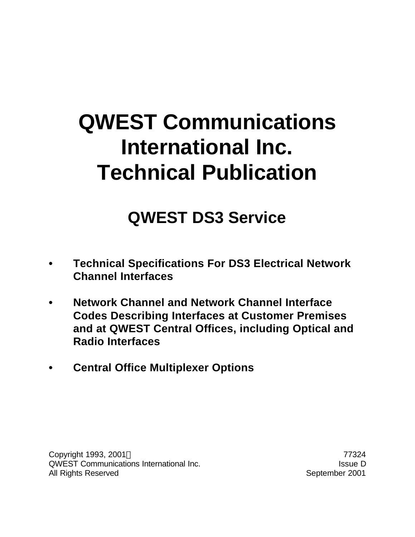# **QWEST Communications International Inc. Technical Publication**

## **QWEST DS3 Service**

- **• Technical Specifications For DS3 Electrical Network Channel Interfaces**
- **• Network Channel and Network Channel Interface Codes Describing Interfaces at Customer Premises and at QWEST Central Offices, including Optical and Radio Interfaces**
- **• Central Office Multiplexer Options**

Copyright 1993, 2001 © 2001 2001 77324 QWEST Communications International Inc. **In the COVEST** Communications International Inc. All Rights Reserved **September 2001**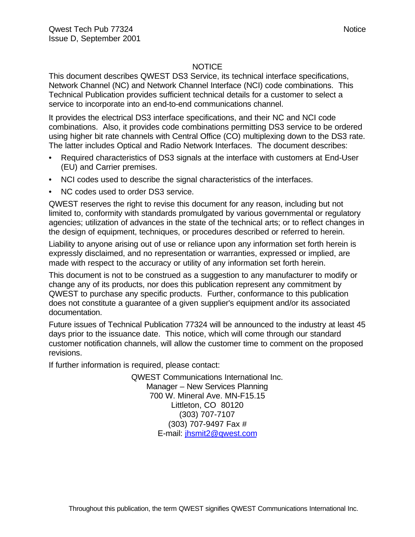#### **NOTICE**

This document describes QWEST DS3 Service, its technical interface specifications, Network Channel (NC) and Network Channel Interface (NCI) code combinations. This Technical Publication provides sufficient technical details for a customer to select a service to incorporate into an end-to-end communications channel.

It provides the electrical DS3 interface specifications, and their NC and NCI code combinations. Also, it provides code combinations permitting DS3 service to be ordered using higher bit rate channels with Central Office (CO) multiplexing down to the DS3 rate. The latter includes Optical and Radio Network Interfaces. The document describes:

- Required characteristics of DS3 signals at the interface with customers at End-User (EU) and Carrier premises.
- NCI codes used to describe the signal characteristics of the interfaces.
- NC codes used to order DS3 service.

QWEST reserves the right to revise this document for any reason, including but not limited to, conformity with standards promulgated by various governmental or regulatory agencies; utilization of advances in the state of the technical arts; or to reflect changes in the design of equipment, techniques, or procedures described or referred to herein.

Liability to anyone arising out of use or reliance upon any information set forth herein is expressly disclaimed, and no representation or warranties, expressed or implied, are made with respect to the accuracy or utility of any information set forth herein.

This document is not to be construed as a suggestion to any manufacturer to modify or change any of its products, nor does this publication represent any commitment by QWEST to purchase any specific products. Further, conformance to this publication does not constitute a guarantee of a given supplier's equipment and/or its associated documentation.

Future issues of Technical Publication 77324 will be announced to the industry at least 45 days prior to the issuance date. This notice, which will come through our standard customer notification channels, will allow the customer time to comment on the proposed revisions.

If further information is required, please contact:

QWEST Communications International Inc. Manager – New Services Planning 700 W. Mineral Ave. MN-F15.15 Littleton, CO 80120 (303) 707-7107 (303) 707-9497 Fax # E-mail: jhsmit2@qwest.com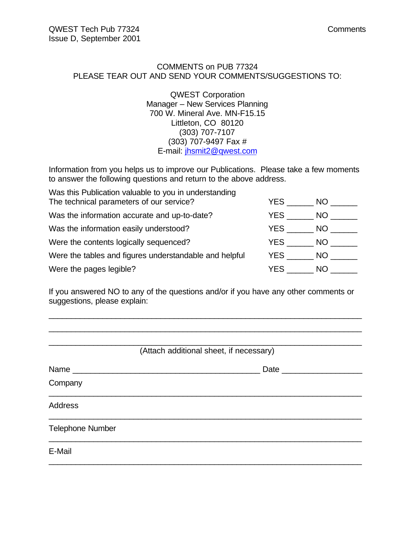#### COMMENTS on PUB 77324 PLEASE TEAR OUT AND SEND YOUR COMMENTS/SUGGESTIONS TO:

QWEST Corporation Manager – New Services Planning 700 W. Mineral Ave. MN-F15.15 Littleton, CO 80120 (303) 707-7107 (303) 707-9497 Fax # E-mail: jhsmit2@qwest.com

Information from you helps us to improve our Publications. Please take a few moments to answer the following questions and return to the above address.

| Was this Publication valuable to you in understanding<br>The technical parameters of our service? | YES.       | NO.  |
|---------------------------------------------------------------------------------------------------|------------|------|
| Was the information accurate and up-to-date?                                                      | YES        | NO . |
| Was the information easily understood?                                                            | <b>YES</b> | NO I |
| Were the contents logically sequenced?                                                            | YES        | NO.  |
| Were the tables and figures understandable and helpful                                            | YES        | NO.  |
| Were the pages legible?                                                                           | YES.       | NO.  |

If you answered NO to any of the questions and/or if you have any other comments or suggestions, please explain:

\_\_\_\_\_\_\_\_\_\_\_\_\_\_\_\_\_\_\_\_\_\_\_\_\_\_\_\_\_\_\_\_\_\_\_\_\_\_\_\_\_\_\_\_\_\_\_\_\_\_\_\_\_\_\_\_\_\_\_\_\_\_\_\_\_\_\_\_\_\_

| (Attach additional sheet, if necessary) |
|-----------------------------------------|
| Date __________                         |
|                                         |
|                                         |
|                                         |
|                                         |
|                                         |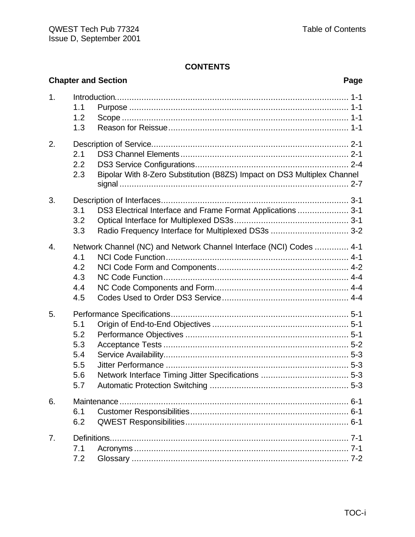|                  |                                               | <b>Chapter and Section</b>                                                                                         | Page |
|------------------|-----------------------------------------------|--------------------------------------------------------------------------------------------------------------------|------|
| 1.               | 1.1<br>1.2<br>1.3                             |                                                                                                                    |      |
| 2.               | 2.1<br>2.2<br>2.3                             | Bipolar With 8-Zero Substitution (B8ZS) Impact on DS3 Multiplex Channel                                            |      |
| 3.               | 3.1<br>3.2<br>3.3                             | DS3 Electrical Interface and Frame Format Applications  3-1<br>Radio Frequency Interface for Multiplexed DS3s  3-2 |      |
| $\overline{4}$ . | 4.1<br>4.2<br>4.3<br>4.4<br>4.5               | Network Channel (NC) and Network Channel Interface (NCI) Codes  4-1                                                |      |
| 5.               | 5.1<br>5.2<br>5.3<br>5.4<br>5.5<br>5.6<br>5.7 |                                                                                                                    |      |
| 6.               | 6.1<br>6.2                                    |                                                                                                                    |      |
| 7.               | 7.1<br>7.2                                    |                                                                                                                    |      |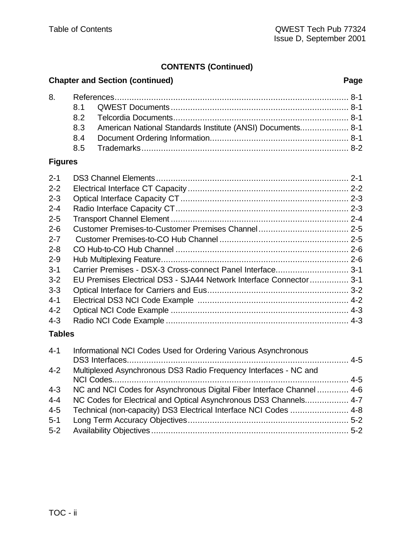### **CONTENTS (Continued)**

### **Chapter and Section (continued) Page**

|  | 8.3 American National Standards Institute (ANSI) Documents 8-1 |  |
|--|----------------------------------------------------------------|--|
|  |                                                                |  |
|  |                                                                |  |

### **Figures**

| $2 - 1$ |                                                                     |  |
|---------|---------------------------------------------------------------------|--|
|         |                                                                     |  |
| $2 - 2$ |                                                                     |  |
| $2 - 3$ |                                                                     |  |
| $2 - 4$ |                                                                     |  |
| $2 - 5$ |                                                                     |  |
| $2 - 6$ |                                                                     |  |
| $2 - 7$ |                                                                     |  |
| $2 - 8$ |                                                                     |  |
| $2 - 9$ |                                                                     |  |
| $3 - 1$ | Carrier Premises - DSX-3 Cross-connect Panel Interface3-1           |  |
| $3 - 2$ | EU Premises Electrical DS3 - SJA44 Network Interface Connector  3-1 |  |
| $3 - 3$ |                                                                     |  |
| $4 - 1$ |                                                                     |  |
| $4 - 2$ |                                                                     |  |
| $4 - 3$ |                                                                     |  |
| _ _ _   |                                                                     |  |

#### **Tables**

| $4 - 1$ | Informational NCI Codes Used for Ordering Various Asynchronous         |  |
|---------|------------------------------------------------------------------------|--|
| $4 - 2$ | Multiplexed Asynchronous DS3 Radio Frequency Interfaces - NC and       |  |
|         |                                                                        |  |
| $4 - 3$ | NC and NCI Codes for Asynchronous Digital Fiber Interface Channel  4-6 |  |
| $4 - 4$ | NC Codes for Electrical and Optical Asynchronous DS3 Channels 4-7      |  |
| $4 - 5$ | Technical (non-capacity) DS3 Electrical Interface NCI Codes  4-8       |  |
| $5 - 1$ |                                                                        |  |
| $5-2$   |                                                                        |  |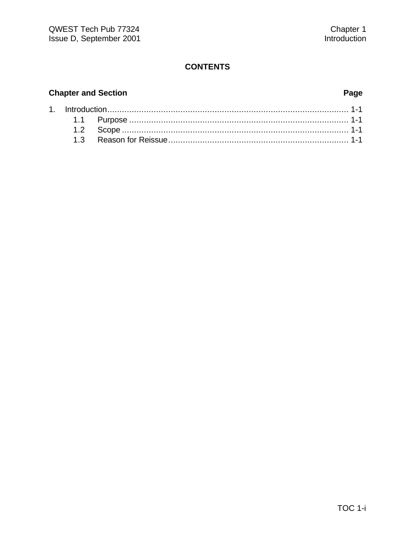#### **Chapter and Section**

#### Page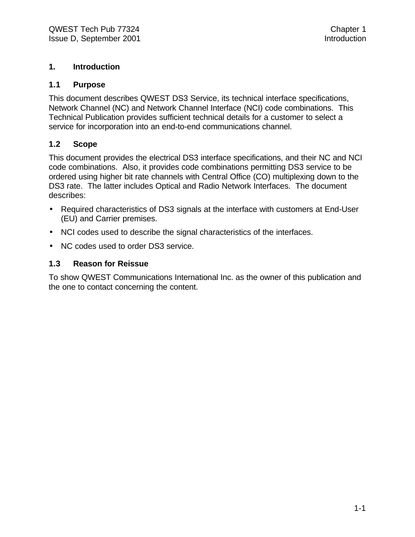#### **1. Introduction**

#### **1.1 Purpose**

This document describes QWEST DS3 Service, its technical interface specifications, Network Channel (NC) and Network Channel Interface (NCI) code combinations. This Technical Publication provides sufficient technical details for a customer to select a service for incorporation into an end-to-end communications channel.

#### **1.2 Scope**

This document provides the electrical DS3 interface specifications, and their NC and NCI code combinations. Also, it provides code combinations permitting DS3 service to be ordered using higher bit rate channels with Central Office (CO) multiplexing down to the DS3 rate. The latter includes Optical and Radio Network Interfaces. The document describes:

- Required characteristics of DS3 signals at the interface with customers at End-User (EU) and Carrier premises.
- NCI codes used to describe the signal characteristics of the interfaces.
- NC codes used to order DS3 service.

#### **1.3 Reason for Reissue**

To show QWEST Communications International Inc. as the owner of this publication and the one to contact concerning the content.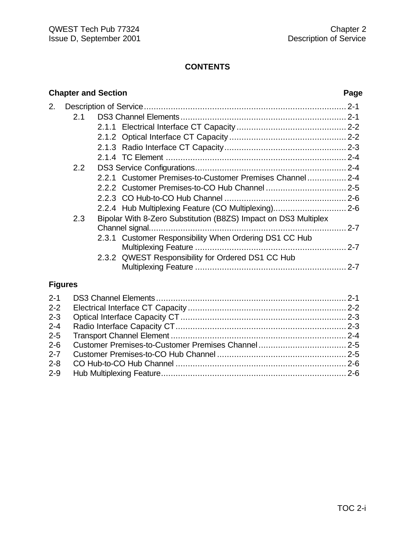#### **Chapter and Section Page** 2. Description of Service................................................................................... 2-1 2.1 DS3 Channel Elements .................................................................... 2-1 2.1.1 Electrical Interface CT Capacity ............................................. 2-2 2.1.2 Optical Interface CT Capacity ................................................ 2-2 2.1.3 Radio Interface CT Capacity.................................................. 2-3 2.1.4 TC Element .......................................................................... 2-4 2.2 DS3 Service Configurations.............................................................. 2-4 2.2.1 Customer Premises-to-Customer Premises Channel................ 2-4 2.2.2 Customer Premises-to-CO Hub Channel ................................. 2-5 2.2.3 CO Hub-to-CO Hub Channel .................................................. 2-6 2.2.4 Hub Multiplexing Feature (CO Multiplexing).............................. 2-6 2.3 Bipolar With 8-Zero Substitution (B8ZS) Impact on DS3 Multiplex Channel signal................................................................................. 2-7 2.3.1 Customer Responsibility When Ordering DS1 CC Hub Multiplexing Feature .............................................................. 2-7 2.3.2 QWEST Responsibility for Ordered DS1 CC Hub Multiplexing Feature .............................................................. 2-7 **Figures** 2-1 DS3 Channel Elements .............................................................................. 2-1 2-2 Electrical Interface CT Capacity ................................................................. 2-2 2-3 Optical Interface Capacity CT.................................................................... 2-3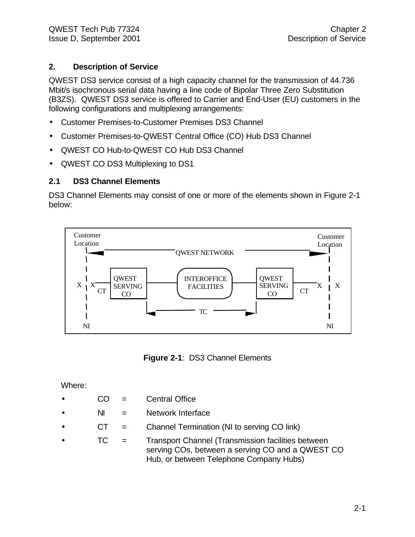#### **2. Description of Service**

QWEST DS3 service consist of a high capacity channel for the transmission of 44.736 Mbit/s isochronous serial data having a line code of Bipolar Three Zero Substitution (B3ZS). QWEST DS3 service is offered to Carrier and End-User (EU) customers in the following configurations and multiplexing arrangements:

- Customer Premises-to-Customer Premises DS3 Channel
- Customer Premises-to-QWEST Central Office (CO) Hub DS3 Channel
- QWEST CO Hub-to-QWEST CO Hub DS3 Channel
- QWEST CO DS3 Multiplexing to DS1

#### **2.1 DS3 Channel Elements**

DS3 Channel Elements may consist of one or more of the elements shown in Figure 2-1 below:



**Figure 2-1**: DS3 Channel Elements

Where:

- $CO =$  Central Office
- $N =$  Network Interface
- CT = Channel Termination (NI to serving CO link)
- TC = Transport Channel (Transmission facilities between serving COs, between a serving CO and a QWEST CO Hub, or between Telephone Company Hubs)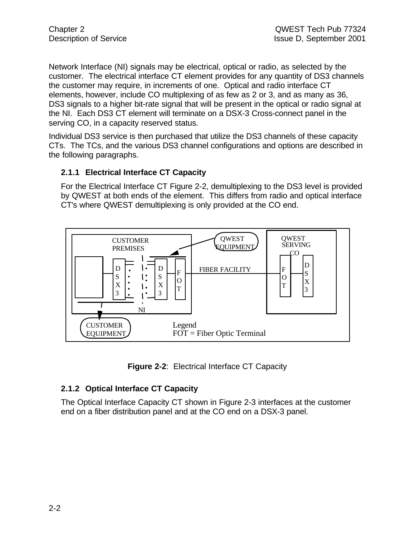Network Interface (NI) signals may be electrical, optical or radio, as selected by the customer. The electrical interface CT element provides for any quantity of DS3 channels the customer may require, in increments of one. Optical and radio interface CT elements, however, include CO multiplexing of as few as 2 or 3, and as many as 36, DS3 signals to a higher bit-rate signal that will be present in the optical or radio signal at the NI. Each DS3 CT element will terminate on a DSX-3 Cross-connect panel in the serving CO, in a capacity reserved status.

Individual DS3 service is then purchased that utilize the DS3 channels of these capacity CTs. The TCs, and the various DS3 channel configurations and options are described in the following paragraphs.

#### **2.1.1 Electrical Interface CT Capacity**

For the Electrical Interface CT Figure 2-2, demultiplexing to the DS3 level is provided by QWEST at both ends of the element. This differs from radio and optical interface CT's where QWEST demultiplexing is only provided at the CO end.



**Figure 2-2**: Electrical Interface CT Capacity

#### **2.1.2 Optical Interface CT Capacity**

The Optical Interface Capacity CT shown in Figure 2-3 interfaces at the customer end on a fiber distribution panel and at the CO end on a DSX-3 panel.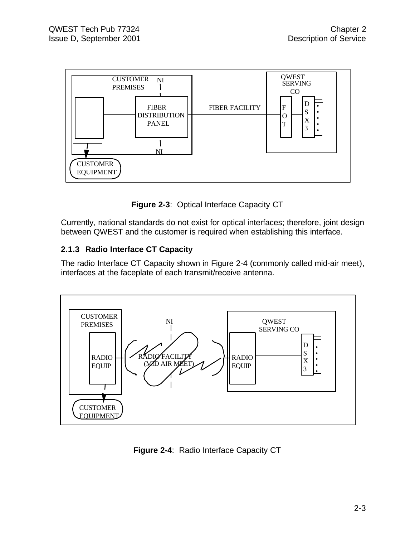



Currently, national standards do not exist for optical interfaces; therefore, joint design between QWEST and the customer is required when establishing this interface.

#### **2.1.3 Radio Interface CT Capacity**

The radio Interface CT Capacity shown in Figure 2-4 (commonly called mid-air meet), interfaces at the faceplate of each transmit/receive antenna.



**Figure 2-4**: Radio Interface Capacity CT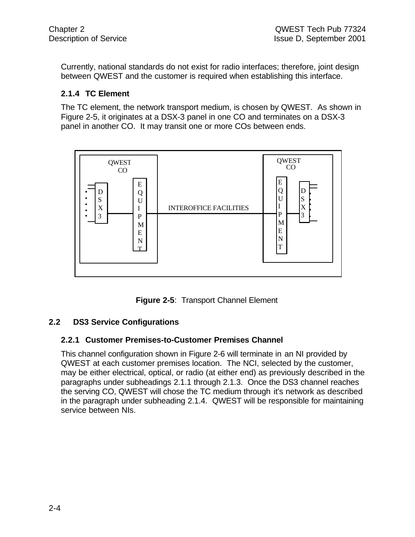Currently, national standards do not exist for radio interfaces; therefore, joint design between QWEST and the customer is required when establishing this interface.

#### **2.1.4 TC Element**

The TC element, the network transport medium, is chosen by QWEST. As shown in Figure 2-5, it originates at a DSX-3 panel in one CO and terminates on a DSX-3 panel in another CO. It may transit one or more COs between ends.



**Figure 2-5**: Transport Channel Element

#### **2.2 DS3 Service Configurations**

#### **2.2.1 Customer Premises-to-Customer Premises Channel**

This channel configuration shown in Figure 2-6 will terminate in an NI provided by QWEST at each customer premises location. The NCI, selected by the customer, may be either electrical, optical, or radio (at either end) as previously described in the paragraphs under subheadings 2.1.1 through 2.1.3. Once the DS3 channel reaches the serving CO, QWEST will chose the TC medium through it's network as described in the paragraph under subheading 2.1.4. QWEST will be responsible for maintaining service between NIs.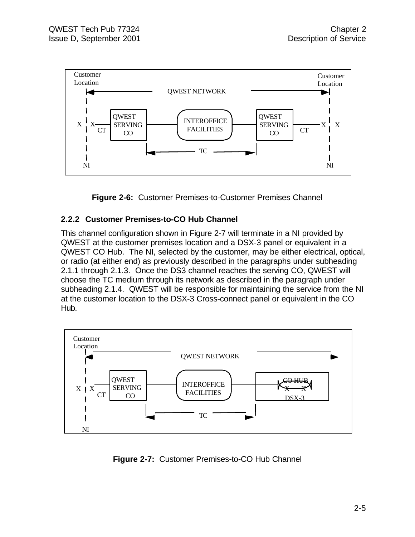

**Figure 2-6:** Customer Premises-to-Customer Premises Channel

#### **2.2.2 Customer Premises-to-CO Hub Channel**

This channel configuration shown in Figure 2-7 will terminate in a NI provided by QWEST at the customer premises location and a DSX-3 panel or equivalent in a QWEST CO Hub. The NI, selected by the customer, may be either electrical, optical, or radio (at either end) as previously described in the paragraphs under subheading 2.1.1 through 2.1.3. Once the DS3 channel reaches the serving CO, QWEST will choose the TC medium through its network as described in the paragraph under subheading 2.1.4. QWEST will be responsible for maintaining the service from the NI at the customer location to the DSX-3 Cross-connect panel or equivalent in the CO Hub.



**Figure 2-7:** Customer Premises-to-CO Hub Channel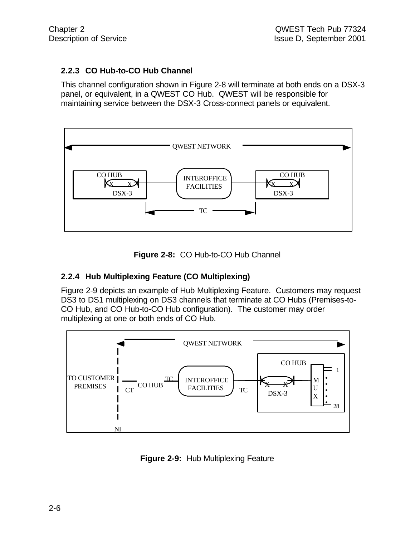#### **2.2.3 CO Hub-to-CO Hub Channel**

This channel configuration shown in Figure 2-8 will terminate at both ends on a DSX-3 panel, or equivalent, in a QWEST CO Hub. QWEST will be responsible for maintaining service between the DSX-3 Cross-connect panels or equivalent.





#### **2.2.4 Hub Multiplexing Feature (CO Multiplexing)**

Figure 2-9 depicts an example of Hub Multiplexing Feature. Customers may request DS3 to DS1 multiplexing on DS3 channels that terminate at CO Hubs (Premises-to-CO Hub, and CO Hub-to-CO Hub configuration). The customer may order multiplexing at one or both ends of CO Hub.



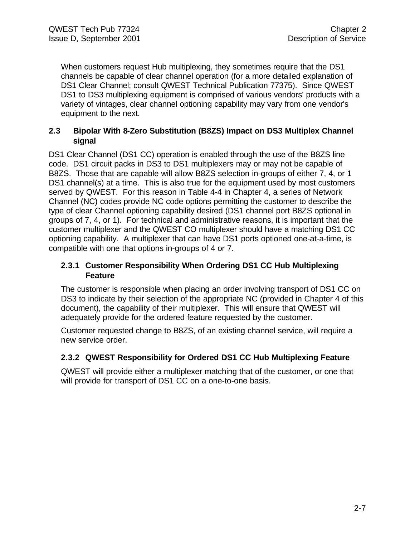When customers request Hub multiplexing, they sometimes require that the DS1 channels be capable of clear channel operation (for a more detailed explanation of DS1 Clear Channel; consult QWEST Technical Publication 77375). Since QWEST DS1 to DS3 multiplexing equipment is comprised of various vendors' products with a variety of vintages, clear channel optioning capability may vary from one vendor's equipment to the next.

#### **2.3 Bipolar With 8-Zero Substitution (B8ZS) Impact on DS3 Multiplex Channel signal**

DS1 Clear Channel (DS1 CC) operation is enabled through the use of the B8ZS line code. DS1 circuit packs in DS3 to DS1 multiplexers may or may not be capable of B8ZS. Those that are capable will allow B8ZS selection in-groups of either 7, 4, or 1 DS1 channel(s) at a time. This is also true for the equipment used by most customers served by QWEST. For this reason in Table 4-4 in Chapter 4, a series of Network Channel (NC) codes provide NC code options permitting the customer to describe the type of clear Channel optioning capability desired (DS1 channel port B8ZS optional in groups of 7, 4, or 1). For technical and administrative reasons, it is important that the customer multiplexer and the QWEST CO multiplexer should have a matching DS1 CC optioning capability. A multiplexer that can have DS1 ports optioned one-at-a-time, is compatible with one that options in-groups of 4 or 7.

#### **2.3.1 Customer Responsibility When Ordering DS1 CC Hub Multiplexing Feature**

The customer is responsible when placing an order involving transport of DS1 CC on DS3 to indicate by their selection of the appropriate NC (provided in Chapter 4 of this document), the capability of their multiplexer. This will ensure that QWEST will adequately provide for the ordered feature requested by the customer.

Customer requested change to B8ZS, of an existing channel service, will require a new service order.

#### **2.3.2 QWEST Responsibility for Ordered DS1 CC Hub Multiplexing Feature**

QWEST will provide either a multiplexer matching that of the customer, or one that will provide for transport of DS1 CC on a one-to-one basis.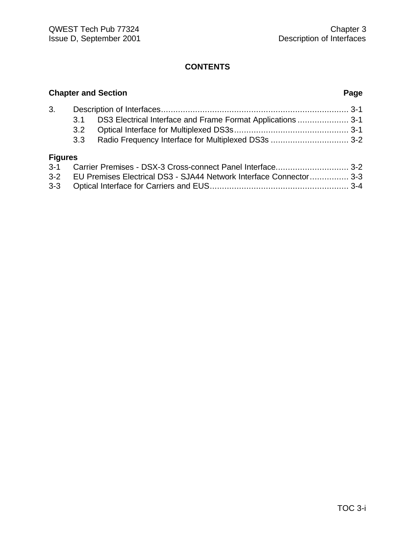### **Chapter and Section Page** 3. Description of Interfaces............................................................................. 3-1 3.1 DS3 Electrical Interface and Frame Format Applications ..................... 3-1 3.2 Optical Interface for Multiplexed DS3s............................................... 3-1 3.3 Radio Frequency Interface for Multiplexed DS3s ................................ 3-2 **Figures** 3-1 Carrier Premises - DSX-3 Cross-connect Panel Interface.............................. 3-2

| 3-2 EU Premises Electrical DS3 - SJA44 Network Interface Connector 3-3 |  |
|------------------------------------------------------------------------|--|
|                                                                        |  |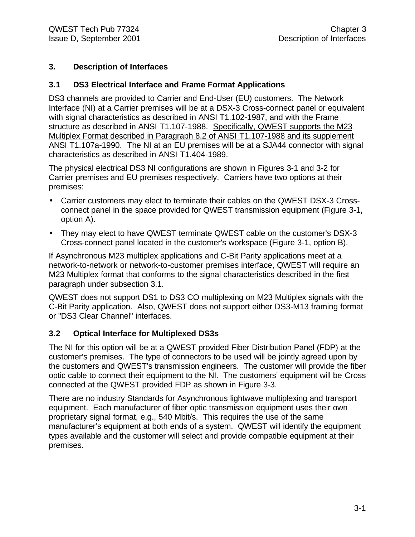#### **3. Description of Interfaces**

#### **3.1 DS3 Electrical Interface and Frame Format Applications**

DS3 channels are provided to Carrier and End-User (EU) customers. The Network Interface (NI) at a Carrier premises will be at a DSX-3 Cross-connect panel or equivalent with signal characteristics as described in ANSI T1.102-1987, and with the Frame structure as described in ANSI T1.107-1988. Specifically, QWEST supports the M23 Multiplex Format described in Paragraph 8.2 of ANSI T1.107-1988 and its supplement ANSI T1.107a-1990. The NI at an EU premises will be at a SJA44 connector with signal characteristics as described in ANSI T1.404-1989.

The physical electrical DS3 NI configurations are shown in Figures 3-1 and 3-2 for Carrier premises and EU premises respectively. Carriers have two options at their premises:

- Carrier customers may elect to terminate their cables on the QWEST DSX-3 Crossconnect panel in the space provided for QWEST transmission equipment (Figure 3-1, option A).
- They may elect to have QWEST terminate QWEST cable on the customer's DSX-3 Cross-connect panel located in the customer's workspace (Figure 3-1, option B).

If Asynchronous M23 multiplex applications and C-Bit Parity applications meet at a network-to-network or network-to-customer premises interface, QWEST will require an M23 Multiplex format that conforms to the signal characteristics described in the first paragraph under subsection 3.1.

QWEST does not support DS1 to DS3 CO multiplexing on M23 Multiplex signals with the C-Bit Parity application. Also, QWEST does not support either DS3-M13 framing format or "DS3 Clear Channel" interfaces.

#### **3.2 Optical Interface for Multiplexed DS3s**

The NI for this option will be at a QWEST provided Fiber Distribution Panel (FDP) at the customer's premises. The type of connectors to be used will be jointly agreed upon by the customers and QWEST's transmission engineers. The customer will provide the fiber optic cable to connect their equipment to the NI. The customers' equipment will be Cross connected at the QWEST provided FDP as shown in Figure 3-3.

There are no industry Standards for Asynchronous lightwave multiplexing and transport equipment. Each manufacturer of fiber optic transmission equipment uses their own proprietary signal format, e.g., 540 Mbit/s. This requires the use of the same manufacturer's equipment at both ends of a system. QWEST will identify the equipment types available and the customer will select and provide compatible equipment at their premises.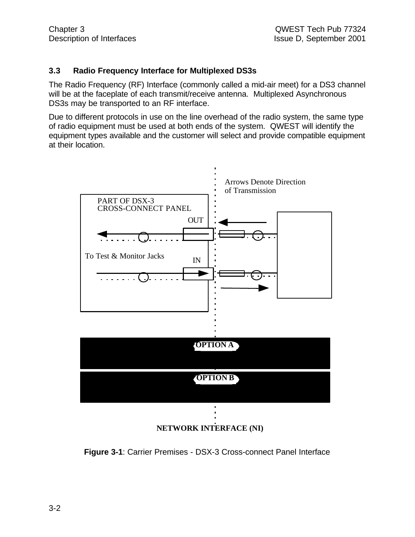#### **3.3 Radio Frequency Interface for Multiplexed DS3s**

The Radio Frequency (RF) Interface (commonly called a mid-air meet) for a DS3 channel will be at the faceplate of each transmit/receive antenna. Multiplexed Asynchronous DS3s may be transported to an RF interface.

Due to different protocols in use on the line overhead of the radio system, the same type of radio equipment must be used at both ends of the system. QWEST will identify the equipment types available and the customer will select and provide compatible equipment at their location.



**NETWORK INTERFACE (NI)**

**Figure 3-1**: Carrier Premises - DSX-3 Cross-connect Panel Interface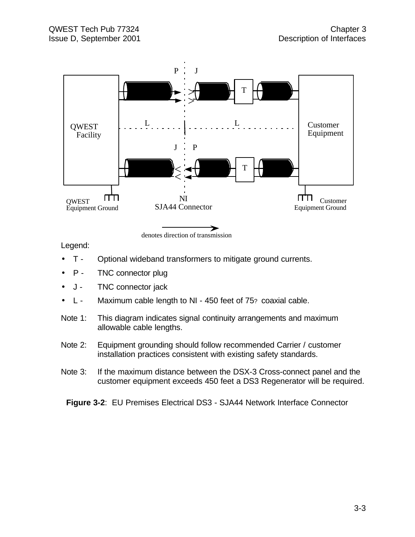

Legend:

- T Optional wideband transformers to mitigate ground currents.
- P TNC connector plug
- J TNC connector jack
- L Maximum cable length to NI 450 feet of 75? coaxial cable.
- Note 1: This diagram indicates signal continuity arrangements and maximum allowable cable lengths.
- Note 2: Equipment grounding should follow recommended Carrier / customer installation practices consistent with existing safety standards.
- Note 3: If the maximum distance between the DSX-3 Cross-connect panel and the customer equipment exceeds 450 feet a DS3 Regenerator will be required.

**Figure 3-2**: EU Premises Electrical DS3 - SJA44 Network Interface Connector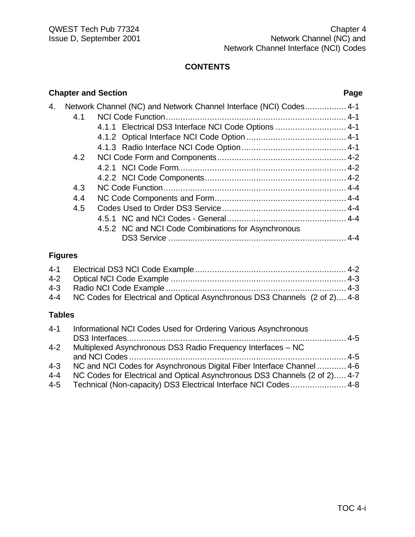|    | <b>Chapter and Section</b> |                                                                    | Page |
|----|----------------------------|--------------------------------------------------------------------|------|
| 4. |                            | Network Channel (NC) and Network Channel Interface (NCI) Codes 4-1 |      |
|    | 4.1                        |                                                                    |      |
|    |                            | 4.1.1 Electrical DS3 Interface NCI Code Options  4-1               |      |
|    |                            |                                                                    |      |
|    |                            |                                                                    |      |
|    | 4.2                        |                                                                    |      |
|    |                            |                                                                    |      |
|    |                            |                                                                    |      |
|    | 4.3                        |                                                                    |      |
|    | 4.4                        |                                                                    |      |
|    | 4.5                        |                                                                    |      |
|    |                            |                                                                    |      |
|    |                            | 4.5.2 NC and NCI Code Combinations for Asynchronous                |      |
|    |                            |                                                                    |      |
|    | Еі <u>дны хал</u>          |                                                                    |      |

#### **Figures**

| 4-4 NC Codes for Electrical and Optical Asynchronous DS3 Channels (2 of 2) 4-8 |  |
|--------------------------------------------------------------------------------|--|

#### **Tables**

| $4 - 1$ | Informational NCI Codes Used for Ordering Various Asynchronous             |  |
|---------|----------------------------------------------------------------------------|--|
|         |                                                                            |  |
| $4 - 2$ | Multiplexed Asynchronous DS3 Radio Frequency Interfaces – NC               |  |
|         |                                                                            |  |
| $4 - 3$ | NC and NCI Codes for Asynchronous Digital Fiber Interface Channel  4-6     |  |
| $4 - 4$ | NC Codes for Electrical and Optical Asynchronous DS3 Channels (2 of 2) 4-7 |  |
| 4-5     | Technical (Non-capacity) DS3 Electrical Interface NCI Codes 4-8            |  |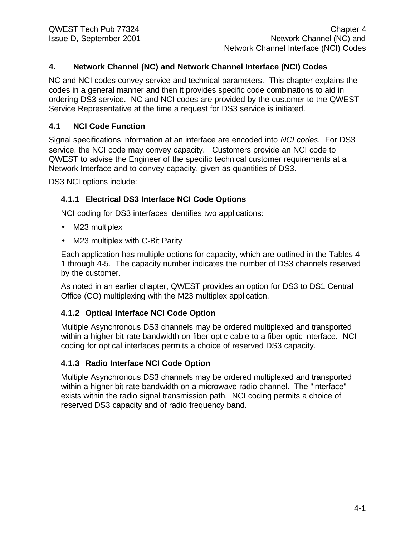#### **4. Network Channel (NC) and Network Channel Interface (NCI) Codes**

NC and NCI codes convey service and technical parameters. This chapter explains the codes in a general manner and then it provides specific code combinations to aid in ordering DS3 service. NC and NCI codes are provided by the customer to the QWEST Service Representative at the time a request for DS3 service is initiated.

#### **4.1 NCI Code Function**

Signal specifications information at an interface are encoded into *NCI codes*. For DS3 service, the NCI code may convey capacity. Customers provide an NCI code to QWEST to advise the Engineer of the specific technical customer requirements at a Network Interface and to convey capacity, given as quantities of DS3.

DS3 NCI options include:

#### **4.1.1 Electrical DS3 Interface NCI Code Options**

NCI coding for DS3 interfaces identifies two applications:

- M23 multiplex
- M23 multiplex with C-Bit Parity

Each application has multiple options for capacity, which are outlined in the Tables 4- 1 through 4-5. The capacity number indicates the number of DS3 channels reserved by the customer.

As noted in an earlier chapter, QWEST provides an option for DS3 to DS1 Central Office (CO) multiplexing with the M23 multiplex application.

#### **4.1.2 Optical Interface NCI Code Option**

Multiple Asynchronous DS3 channels may be ordered multiplexed and transported within a higher bit-rate bandwidth on fiber optic cable to a fiber optic interface. NCI coding for optical interfaces permits a choice of reserved DS3 capacity.

#### **4.1.3 Radio Interface NCI Code Option**

Multiple Asynchronous DS3 channels may be ordered multiplexed and transported within a higher bit-rate bandwidth on a microwave radio channel. The "interface" exists within the radio signal transmission path. NCI coding permits a choice of reserved DS3 capacity and of radio frequency band.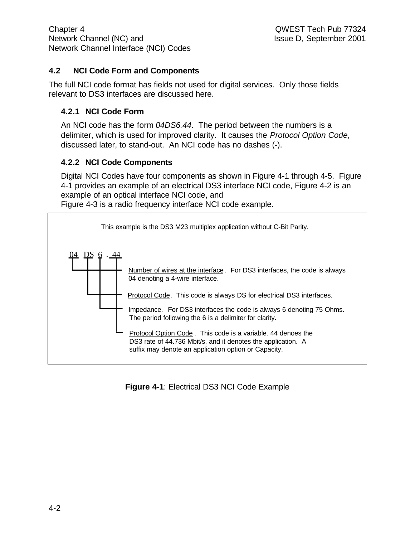#### **4.2 NCI Code Form and Components**

The full NCI code format has fields not used for digital services. Only those fields relevant to DS3 interfaces are discussed here.

#### **4.2.1 NCI Code Form**

An NCI code has the form *04DS6.44*. The period between the numbers is a delimiter, which is used for improved clarity. It causes the *Protocol Option Code*, discussed later, to stand-out. An NCI code has no dashes (-).

#### **4.2.2 NCI Code Components**

Digital NCI Codes have four components as shown in Figure 4-1 through 4-5. Figure 4-1 provides an example of an electrical DS3 interface NCI code, Figure 4-2 is an example of an optical interface NCI code, and Figure 4-3 is a radio frequency interface NCI code example.

04 DS 6 . 44 This example is the DS3 M23 multiplex application without C-Bit Parity. Impedance. For DS3 interfaces the code is always 6 denoting 75 Ohms. The period following the 6 is a delimiter for clarity. Protocol Code. This code is always DS for electrical DS3 interfaces. Number of wires at the interface. For DS3 interfaces, the code is always 04 denoting a 4-wire interface. Protocol Option Code . This code is a variable. 44 denoes the DS3 rate of 44.736 Mbit/s, and it denotes the application. A suffix may denote an application option or Capacity.

#### **Figure 4-1**: Electrical DS3 NCI Code Example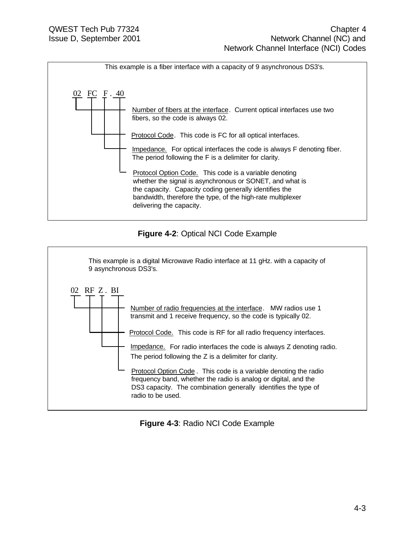

#### **Figure 4-2**: Optical NCI Code Example



#### **Figure 4-3**: Radio NCI Code Example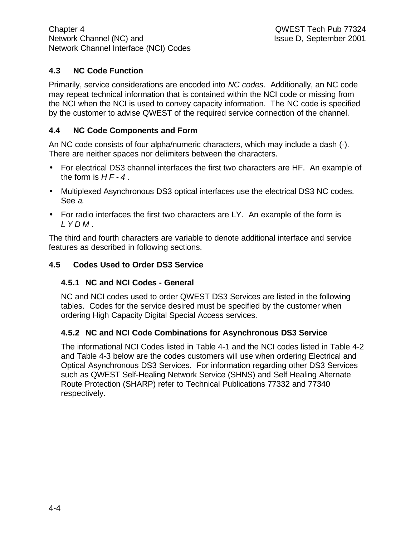#### **4.3 NC Code Function**

Primarily, service considerations are encoded into *NC codes*. Additionally, an NC code may repeat technical information that is contained within the NCI code or missing from the NCI when the NCI is used to convey capacity information. The NC code is specified by the customer to advise QWEST of the required service connection of the channel.

#### **4.4 NC Code Components and Form**

An NC code consists of four alpha/numeric characters, which may include a dash (-). There are neither spaces nor delimiters between the characters.

- For electrical DS3 channel interfaces the first two characters are HF. An example of the form is *HF-4* .
- Multiplexed Asynchronous DS3 optical interfaces use the electrical DS3 NC codes. See *a.*
- For radio interfaces the first two characters are LY. An example of the form is *LYDM* .

The third and fourth characters are variable to denote additional interface and service features as described in following sections.

#### **4.5 Codes Used to Order DS3 Service**

#### **4.5.1 NC and NCI Codes - General**

NC and NCI codes used to order QWEST DS3 Services are listed in the following tables. Codes for the service desired must be specified by the customer when ordering High Capacity Digital Special Access services.

#### **4.5.2 NC and NCI Code Combinations for Asynchronous DS3 Service**

The informational NCI Codes listed in Table 4-1 and the NCI codes listed in Table 4-2 and Table 4-3 below are the codes customers will use when ordering Electrical and Optical Asynchronous DS3 Services. For information regarding other DS3 Services such as QWEST Self-Healing Network Service (SHNS) and Self Healing Alternate Route Protection (SHARP) refer to Technical Publications 77332 and 77340 respectively.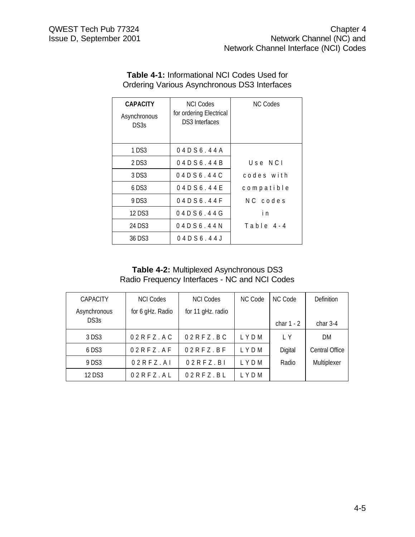| <b>CAPACITY</b><br>Asynchronous<br>DS3s | <b>NCI Codes</b><br>for ordering Electrical<br>DS3 Interfaces | <b>NC Codes</b> |
|-----------------------------------------|---------------------------------------------------------------|-----------------|
| 1 DS3                                   | 04D56.44A                                                     |                 |
| 2 DS3                                   | 04D56.44B                                                     | $U$ se N $C$ l  |
| 3 DS3                                   | 04D56.44C                                                     | codes with      |
| $6$ DS3                                 | 04D56.44E                                                     | compatible      |
| 9 DS3                                   | 04D56.44F                                                     | NC codes        |
| 12 D.S.3                                | 04D56.44G                                                     | i n             |
| 24 DS3                                  | 04D56.44N                                                     | Table 4-4       |
| 36 DS3                                  | 04 D S 6 . 44 J                                               |                 |

#### **Table 4-1:** Informational NCI Codes Used for Ordering Various Asynchronous DS3 Interfaces

#### **Table 4-2:** Multiplexed Asynchronous DS3 Radio Frequency Interfaces - NC and NCI Codes

| <b>CAPACITY</b> | <b>NCI Codes</b>   | <b>NCI Codes</b>  | NC Code | NC Code      | Definition     |
|-----------------|--------------------|-------------------|---------|--------------|----------------|
| Asynchronous    | for 6 gHz. Radio   | for 11 gHz. radio |         |              |                |
| DS3s            |                    |                   |         | char $1 - 2$ | char $3-4$     |
| 3 DS3           | $02$ R F Z . A C   | $02RFZ$ .BC       | LYDM    | IY           | DM             |
| $6$ DS3         | $02$ R F Z . A F   | $02RFZ$ . BF      | LYDM    | Digital      | Central Office |
| 9 DS3           | $02$ R F Z . A I   | 02RFZ.B1          | LYDM    | Radio        | Multiplexer    |
| 12 DS3          | $02$ R F Z $.$ A L | $02RFZ$ .BL       | LYDM    |              |                |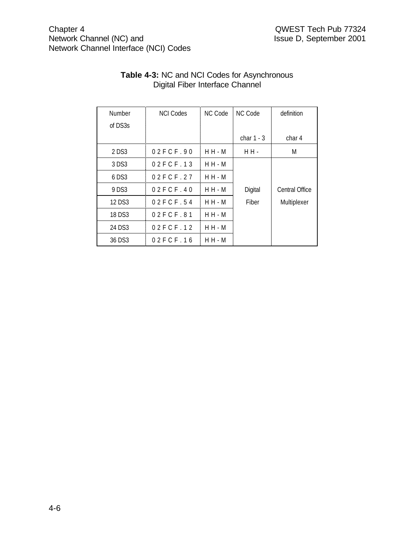| Number  | <b>NCI Codes</b> | NC Code   | <b>NC Code</b> | definition     |
|---------|------------------|-----------|----------------|----------------|
| of DS3s |                  |           |                |                |
|         |                  |           | char $1 - 3$   | char 4         |
| 2 DS3   | 02FCF.90         | $H H - M$ | H H -          | M              |
| 3 DS3   | 02FCF.13         | $H H - M$ |                |                |
| 6 DS3   | 02FCF.27         | $H H - M$ |                |                |
| 9 DS3   | 02FCF.40         | $H H - M$ | Digital        | Central Office |
| 12 DS3  | 02FCF.54         | $H H - M$ | Fiber          | Multiplexer    |
| 18 DS3  | 02FCF.81         | $H H - M$ |                |                |
| 24 DS3  | 02FCF.12         | $H H - M$ |                |                |
| 36 DS3  | 02FCF.16         | $H H - M$ |                |                |

#### **Table 4-3:** NC and NCI Codes for Asynchronous Digital Fiber Interface Channel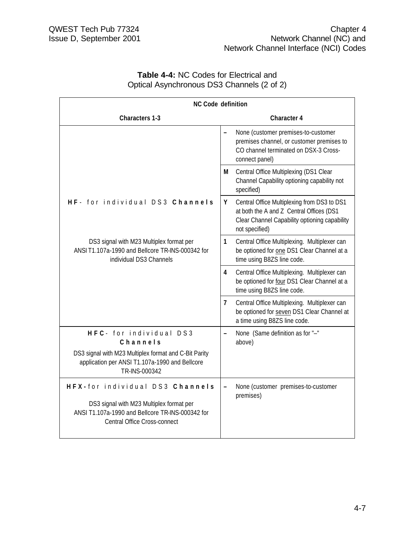| <b>Table 4-4: NC Codes for Electrical and</b> |  |
|-----------------------------------------------|--|
| Optical Asynchronous DS3 Channels (2 of 2)    |  |

| <b>NC Code definition</b>                                                                                                                                       |                          |                                                                                                                                                            |
|-----------------------------------------------------------------------------------------------------------------------------------------------------------------|--------------------------|------------------------------------------------------------------------------------------------------------------------------------------------------------|
| <b>Characters 1-3</b>                                                                                                                                           |                          | <b>Character 4</b>                                                                                                                                         |
|                                                                                                                                                                 |                          | None (customer premises-to-customer<br>premises channel, or customer premises to<br>CO channel terminated on DSX-3 Cross-<br>connect panel)                |
|                                                                                                                                                                 | М                        | Central Office Multiplexing (DS1 Clear<br>Channel Capability optioning capability not<br>specified)                                                        |
| HF- for individual DS3 Channels                                                                                                                                 | Y                        | Central Office Multiplexing from DS3 to DS1<br>at both the A and Z Central Offices (DS1<br>Clear Channel Capability optioning capability<br>not specified) |
| DS3 signal with M23 Multiplex format per<br>ANSI T1.107a-1990 and Bellcore TR-INS-000342 for<br>individual DS3 Channels                                         | $\mathbf{1}$             | Central Office Multiplexing. Multiplexer can<br>be optioned for one DS1 Clear Channel at a<br>time using B8ZS line code.                                   |
|                                                                                                                                                                 | 4                        | Central Office Multiplexing. Multiplexer can<br>be optioned for four DS1 Clear Channel at a<br>time using B8ZS line code.                                  |
|                                                                                                                                                                 | 7                        | Central Office Multiplexing. Multiplexer can<br>be optioned for seven DS1 Clear Channel at<br>a time using B8ZS line code.                                 |
| HFC- for individual DS3<br>Channels<br>DS3 signal with M23 Multiplex format and C-Bit Parity<br>application per ANSI T1.107a-1990 and Bellcore<br>TR-INS-000342 | $\overline{\phantom{0}}$ | None (Same definition as for "-"<br>above)                                                                                                                 |
| HFX-for individual DS3 Channels<br>DS3 signal with M23 Multiplex format per<br>ANSI T1.107a-1990 and Bellcore TR-INS-000342 for<br>Central Office Cross-connect |                          | None (customer premises-to-customer<br>premises)                                                                                                           |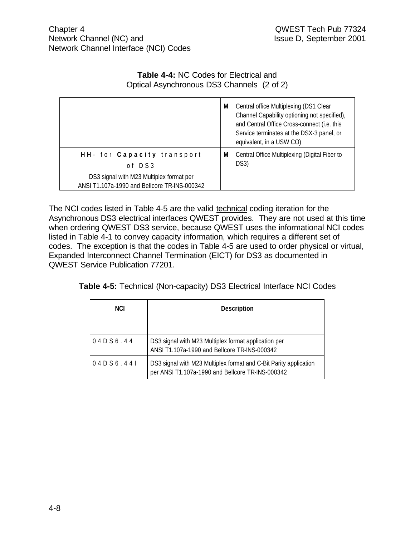#### **Table 4-4:** NC Codes for Electrical and Optical Asynchronous DS3 Channels (2 of 2)

|                                                                                          | M | Central office Multiplexing (DS1 Clear<br>Channel Capability optioning not specified),<br>and Central Office Cross-connect (i.e. this<br>Service terminates at the DSX-3 panel, or<br>equivalent, in a USW CO) |
|------------------------------------------------------------------------------------------|---|----------------------------------------------------------------------------------------------------------------------------------------------------------------------------------------------------------------|
| HH- for Capacity transport<br>of DS3                                                     | M | Central Office Multiplexing (Digital Fiber to<br>DS3)                                                                                                                                                          |
| DS3 signal with M23 Multiplex format per<br>ANSI T1.107a-1990 and Bellcore TR-INS-000342 |   |                                                                                                                                                                                                                |

The NCI codes listed in Table 4-5 are the valid technical coding iteration for the Asynchronous DS3 electrical interfaces QWEST provides. They are not used at this time when ordering QWEST DS3 service, because QWEST uses the informational NCI codes listed in Table 4-1 to convey capacity information, which requires a different set of codes. The exception is that the codes in Table 4-5 are used to order physical or virtual, Expanded Interconnect Channel Termination (EICT) for DS3 as documented in QWEST Service Publication 77201.

| Table 4-5: Technical (Non-capacity) DS3 Electrical Interface NCI Codes |
|------------------------------------------------------------------------|
|------------------------------------------------------------------------|

| <b>NCI</b> | <b>Description</b>                                                                                                    |
|------------|-----------------------------------------------------------------------------------------------------------------------|
| 04D56.44   | DS3 signal with M23 Multiplex format application per<br>ANSI T1.107a-1990 and Bellcore TR-INS-000342                  |
| 04D56.441  | DS3 signal with M23 Multiplex format and C-Bit Parity application<br>per ANSI T1.107a-1990 and Bellcore TR-INS-000342 |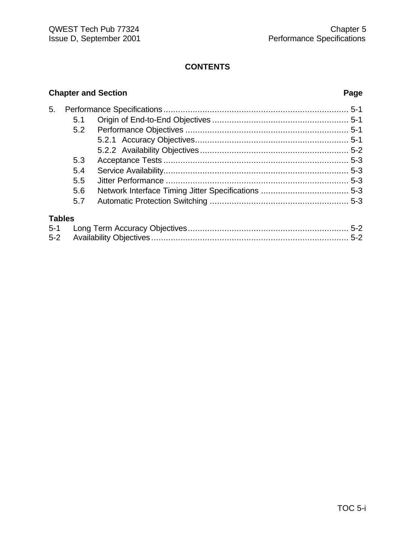#### **Chapter and Section Page**

| 5.            |     |  |  |  |
|---------------|-----|--|--|--|
|               | 5.1 |  |  |  |
|               | 5.2 |  |  |  |
|               |     |  |  |  |
|               |     |  |  |  |
|               | 5.3 |  |  |  |
|               | 5.4 |  |  |  |
|               | 5.5 |  |  |  |
|               | 5.6 |  |  |  |
|               | 5.7 |  |  |  |
| <b>Tables</b> |     |  |  |  |
| $5 - 1$       |     |  |  |  |
| $5 - 2$       |     |  |  |  |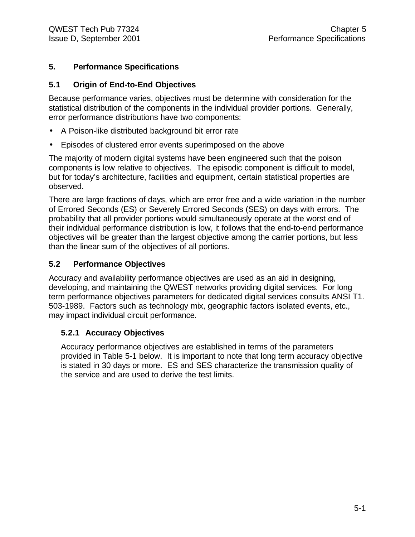#### **5. Performance Specifications**

#### **5.1 Origin of End-to-End Objectives**

Because performance varies, objectives must be determine with consideration for the statistical distribution of the components in the individual provider portions. Generally, error performance distributions have two components:

- A Poison-like distributed background bit error rate
- Episodes of clustered error events superimposed on the above

The majority of modern digital systems have been engineered such that the poison components is low relative to objectives. The episodic component is difficult to model, but for today's architecture, facilities and equipment, certain statistical properties are observed.

There are large fractions of days, which are error free and a wide variation in the number of Errored Seconds (ES) or Severely Errored Seconds (SES) on days with errors. The probability that all provider portions would simultaneously operate at the worst end of their individual performance distribution is low, it follows that the end-to-end performance objectives will be greater than the largest objective among the carrier portions, but less than the linear sum of the objectives of all portions.

#### **5.2 Performance Objectives**

Accuracy and availability performance objectives are used as an aid in designing, developing, and maintaining the QWEST networks providing digital services. For long term performance objectives parameters for dedicated digital services consults ANSI T1. 503-1989. Factors such as technology mix, geographic factors isolated events, etc., may impact individual circuit performance.

#### **5.2.1 Accuracy Objectives**

Accuracy performance objectives are established in terms of the parameters provided in Table 5-1 below. It is important to note that long term accuracy objective is stated in 30 days or more. ES and SES characterize the transmission quality of the service and are used to derive the test limits.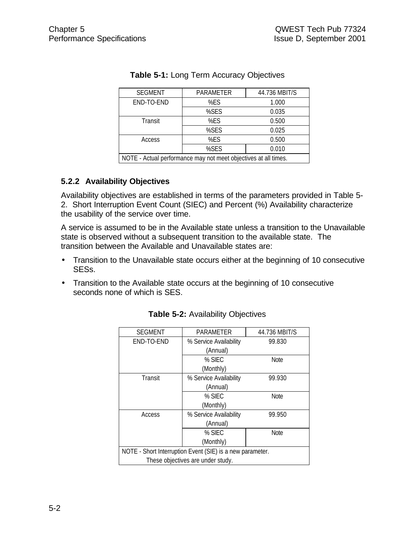| <b>SEGMENT</b>                                                  | PARAMETER    | 44.736 MBIT/S |  |
|-----------------------------------------------------------------|--------------|---------------|--|
| END-TO-END                                                      | %FS<br>1.000 |               |  |
|                                                                 | %SES         | 0.035         |  |
| Transit                                                         | %ES          | 0.500         |  |
|                                                                 | %SES         | 0.025         |  |
| Access                                                          | %ES          | 0.500         |  |
|                                                                 | %SES         | 0.010         |  |
| NOTE - Actual performance may not meet objectives at all times. |              |               |  |

#### **Table 5-1:** Long Term Accuracy Objectives

#### **5.2.2 Availability Objectives**

Availability objectives are established in terms of the parameters provided in Table 5- 2. Short Interruption Event Count (SIEC) and Percent (%) Availability characterize the usability of the service over time.

A service is assumed to be in the Available state unless a transition to the Unavailable state is observed without a subsequent transition to the available state. The transition between the Available and Unavailable states are:

- Transition to the Unavailable state occurs either at the beginning of 10 consecutive SESs.
- Transition to the Available state occurs at the beginning of 10 consecutive seconds none of which is SES.

| <b>SEGMENT</b>                                            | PARAMETER              | 44.736 MBIT/S |  |  |  |
|-----------------------------------------------------------|------------------------|---------------|--|--|--|
| END-TO-END                                                | % Service Availability | 99.830        |  |  |  |
|                                                           | (Annual)               |               |  |  |  |
|                                                           | $%$ SIFC               | <b>Note</b>   |  |  |  |
|                                                           | (Monthly)              |               |  |  |  |
| Transit                                                   | % Service Availability | 99.930        |  |  |  |
|                                                           | (Annual)               |               |  |  |  |
|                                                           | % SIEC                 | <b>Note</b>   |  |  |  |
|                                                           | (Monthly)              |               |  |  |  |
| Access                                                    | % Service Availability | 99.950        |  |  |  |
|                                                           | (Annual)               |               |  |  |  |
|                                                           | % SIEC                 | <b>Note</b>   |  |  |  |
|                                                           | (Monthly)              |               |  |  |  |
| NOTE - Short Interruption Event (SIE) is a new parameter. |                        |               |  |  |  |
| These objectives are under study.                         |                        |               |  |  |  |

#### **Table 5-2:** Availability Objectives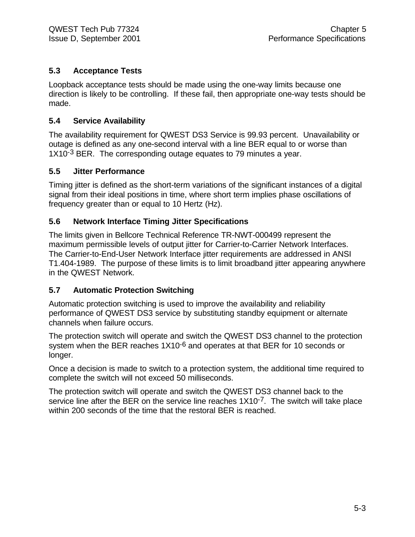#### **5.3 Acceptance Tests**

Loopback acceptance tests should be made using the one-way limits because one direction is likely to be controlling. If these fail, then appropriate one-way tests should be made.

#### **5.4 Service Availability**

The availability requirement for QWEST DS3 Service is 99.93 percent. Unavailability or outage is defined as any one-second interval with a line BER equal to or worse than 1X10<sup>-3</sup> BER. The corresponding outage equates to 79 minutes a year.

#### **5.5 Jitter Performance**

Timing jitter is defined as the short-term variations of the significant instances of a digital signal from their ideal positions in time, where short term implies phase oscillations of frequency greater than or equal to 10 Hertz (Hz).

#### **5.6 Network Interface Timing Jitter Specifications**

The limits given in Bellcore Technical Reference TR-NWT-000499 represent the maximum permissible levels of output jitter for Carrier-to-Carrier Network Interfaces. The Carrier-to-End-User Network Interface jitter requirements are addressed in ANSI T1.404-1989. The purpose of these limits is to limit broadband jitter appearing anywhere in the QWEST Network.

#### **5.7 Automatic Protection Switching**

Automatic protection switching is used to improve the availability and reliability performance of QWEST DS3 service by substituting standby equipment or alternate channels when failure occurs.

The protection switch will operate and switch the QWEST DS3 channel to the protection system when the BER reaches 1X10<sup>-6</sup> and operates at that BER for 10 seconds or longer.

Once a decision is made to switch to a protection system, the additional time required to complete the switch will not exceed 50 milliseconds.

The protection switch will operate and switch the QWEST DS3 channel back to the service line after the BER on the service line reaches 1X10<sup>-7</sup>. The switch will take place within 200 seconds of the time that the restoral BER is reached.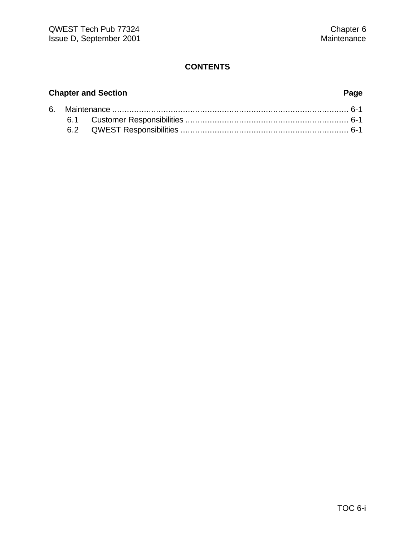#### **Chapter and Section Page**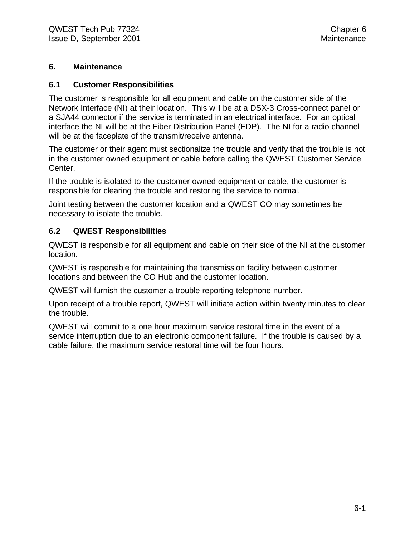#### **6. Maintenance**

#### **6.1 Customer Responsibilities**

The customer is responsible for all equipment and cable on the customer side of the Network Interface (NI) at their location. This will be at a DSX-3 Cross-connect panel or a SJA44 connector if the service is terminated in an electrical interface. For an optical interface the NI will be at the Fiber Distribution Panel (FDP). The NI for a radio channel will be at the faceplate of the transmit/receive antenna.

The customer or their agent must sectionalize the trouble and verify that the trouble is not in the customer owned equipment or cable before calling the QWEST Customer Service Center.

If the trouble is isolated to the customer owned equipment or cable, the customer is responsible for clearing the trouble and restoring the service to normal.

Joint testing between the customer location and a QWEST CO may sometimes be necessary to isolate the trouble.

#### **6.2 QWEST Responsibilities**

QWEST is responsible for all equipment and cable on their side of the NI at the customer location.

QWEST is responsible for maintaining the transmission facility between customer locations and between the CO Hub and the customer location.

QWEST will furnish the customer a trouble reporting telephone number.

Upon receipt of a trouble report, QWEST will initiate action within twenty minutes to clear the trouble.

QWEST will commit to a one hour maximum service restoral time in the event of a service interruption due to an electronic component failure. If the trouble is caused by a cable failure, the maximum service restoral time will be four hours.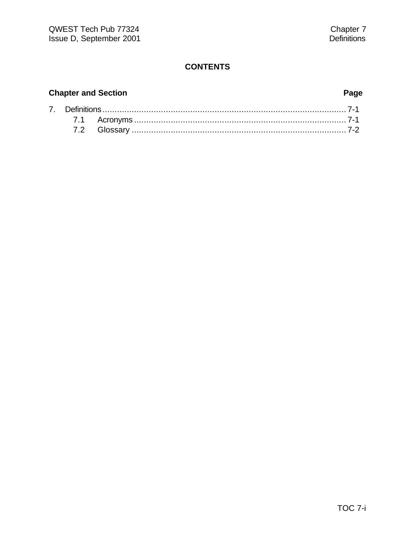### **Chapter and Section Page**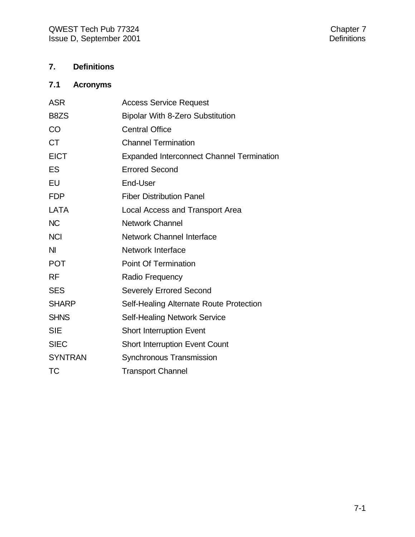#### **7. Definitions**

### **7.1 Acronyms**

| <b>ASR</b>     | <b>Access Service Request</b>                    |
|----------------|--------------------------------------------------|
| B8ZS           | <b>Bipolar With 8-Zero Substitution</b>          |
| CO             | <b>Central Office</b>                            |
| <b>CT</b>      | <b>Channel Termination</b>                       |
| <b>EICT</b>    | <b>Expanded Interconnect Channel Termination</b> |
| <b>ES</b>      | <b>Errored Second</b>                            |
| EU             | End-User                                         |
| <b>FDP</b>     | <b>Fiber Distribution Panel</b>                  |
| <b>LATA</b>    | Local Access and Transport Area                  |
| <b>NC</b>      | <b>Network Channel</b>                           |
| <b>NCI</b>     | <b>Network Channel Interface</b>                 |
| <b>NI</b>      | <b>Network Interface</b>                         |
| <b>POT</b>     | <b>Point Of Termination</b>                      |
| <b>RF</b>      | Radio Frequency                                  |
| <b>SES</b>     | <b>Severely Errored Second</b>                   |
| <b>SHARP</b>   | Self-Healing Alternate Route Protection          |
| <b>SHNS</b>    | <b>Self-Healing Network Service</b>              |
| <b>SIE</b>     | <b>Short Interruption Event</b>                  |
| <b>SIEC</b>    | <b>Short Interruption Event Count</b>            |
| <b>SYNTRAN</b> | Synchronous Transmission                         |
| ТC             | <b>Transport Channel</b>                         |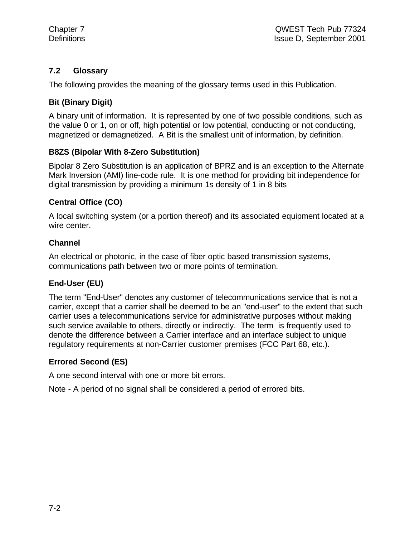#### **7.2 Glossary**

The following provides the meaning of the glossary terms used in this Publication.

#### **Bit (Binary Digit)**

A binary unit of information. It is represented by one of two possible conditions, such as the value 0 or 1, on or off, high potential or low potential, conducting or not conducting, magnetized or demagnetized. A Bit is the smallest unit of information, by definition.

#### **B8ZS (Bipolar With 8-Zero Substitution)**

Bipolar 8 Zero Substitution is an application of BPRZ and is an exception to the Alternate Mark Inversion (AMI) line-code rule. It is one method for providing bit independence for digital transmission by providing a minimum 1s density of 1 in 8 bits

#### **Central Office (CO)**

A local switching system (or a portion thereof) and its associated equipment located at a wire center.

#### **Channel**

An electrical or photonic, in the case of fiber optic based transmission systems, communications path between two or more points of termination.

#### **End-User (EU)**

The term "End-User" denotes any customer of telecommunications service that is not a carrier, except that a carrier shall be deemed to be an "end-user" to the extent that such carrier uses a telecommunications service for administrative purposes without making such service available to others, directly or indirectly. The term is frequently used to denote the difference between a Carrier interface and an interface subject to unique regulatory requirements at non-Carrier customer premises (FCC Part 68, etc.).

#### **Errored Second (ES)**

A one second interval with one or more bit errors.

Note - A period of no signal shall be considered a period of errored bits.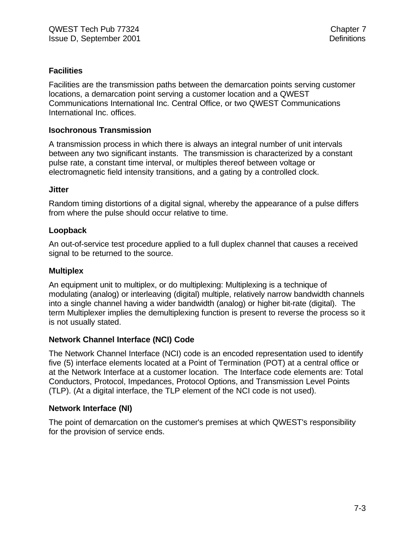#### **Facilities**

Facilities are the transmission paths between the demarcation points serving customer locations, a demarcation point serving a customer location and a QWEST Communications International Inc. Central Office, or two QWEST Communications International Inc. offices.

#### **Isochronous Transmission**

A transmission process in which there is always an integral number of unit intervals between any two significant instants. The transmission is characterized by a constant pulse rate, a constant time interval, or multiples thereof between voltage or electromagnetic field intensity transitions, and a gating by a controlled clock.

#### **Jitter**

Random timing distortions of a digital signal, whereby the appearance of a pulse differs from where the pulse should occur relative to time.

#### **Loopback**

An out-of-service test procedure applied to a full duplex channel that causes a received signal to be returned to the source.

#### **Multiplex**

An equipment unit to multiplex, or do multiplexing: Multiplexing is a technique of modulating (analog) or interleaving (digital) multiple, relatively narrow bandwidth channels into a single channel having a wider bandwidth (analog) or higher bit-rate (digital). The term Multiplexer implies the demultiplexing function is present to reverse the process so it is not usually stated.

#### **Network Channel Interface (NCI) Code**

The Network Channel Interface (NCI) code is an encoded representation used to identify five (5) interface elements located at a Point of Termination (POT) at a central office or at the Network Interface at a customer location. The Interface code elements are: Total Conductors, Protocol, Impedances, Protocol Options, and Transmission Level Points (TLP). (At a digital interface, the TLP element of the NCI code is not used).

#### **Network Interface (NI)**

The point of demarcation on the customer's premises at which QWEST's responsibility for the provision of service ends.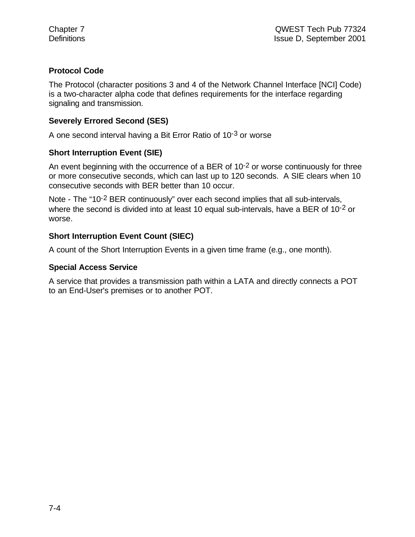#### **Protocol Code**

The Protocol (character positions 3 and 4 of the Network Channel Interface [NCI] Code) is a two-character alpha code that defines requirements for the interface regarding signaling and transmission.

#### **Severely Errored Second (SES)**

A one second interval having a Bit Error Ratio of 10-3 or worse

#### **Short Interruption Event (SIE)**

An event beginning with the occurrence of a BER of  $10^{-2}$  or worse continuously for three or more consecutive seconds, which can last up to 120 seconds. A SIE clears when 10 consecutive seconds with BER better than 10 occur.

Note - The "10<sup>-2</sup> BER continuously" over each second implies that all sub-intervals, where the second is divided into at least 10 equal sub-intervals, have a BER of 10<sup>-2</sup> or worse.

#### **Short Interruption Event Count (SIEC)**

A count of the Short Interruption Events in a given time frame (e.g., one month).

#### **Special Access Service**

A service that provides a transmission path within a LATA and directly connects a POT to an End-User's premises or to another POT.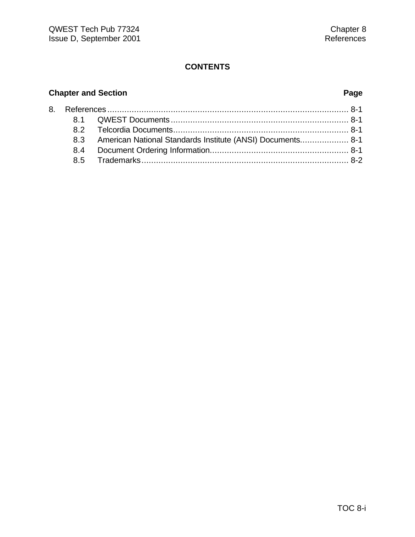### **Chapter and Section Page**

|  | 8.3 American National Standards Institute (ANSI) Documents 8-1 |
|--|----------------------------------------------------------------|
|  |                                                                |
|  |                                                                |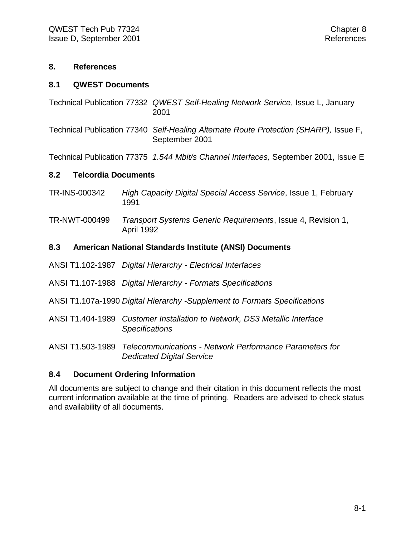#### **8. References**

#### **8.1 QWEST Documents**

- Technical Publication 77332 *QWEST Self-Healing Network Service*, Issue L, January 2001
- Technical Publication 77340 *Self-Healing Alternate Route Protection (SHARP),* Issue F, September 2001

Technical Publication 77375 *1.544 Mbit/s Channel Interfaces,* September 2001, Issue E

#### **8.2 Telcordia Documents**

- TR-INS-000342 *High Capacity Digital Special Access Service*, Issue 1, February 1991
- TR-NWT-000499 *Transport Systems Generic Requirements*, Issue 4, Revision 1, April 1992

#### **8.3 American National Standards Institute (ANSI) Documents**

- ANSI T1.102-1987 *Digital Hierarchy Electrical Interfaces*
- ANSI T1.107-1988 *Digital Hierarchy Formats Specifications*
- ANSI T1.107a-1990 *Digital Hierarchy -Supplement to Formats Specifications*
- ANSI T1.404-1989 *Customer Installation to Network, DS3 Metallic Interface Specifications*

ANSI T1.503-1989 *Telecommunications - Network Performance Parameters for Dedicated Digital Service*

#### **8.4 Document Ordering Information**

All documents are subject to change and their citation in this document reflects the most current information available at the time of printing. Readers are advised to check status and availability of all documents.